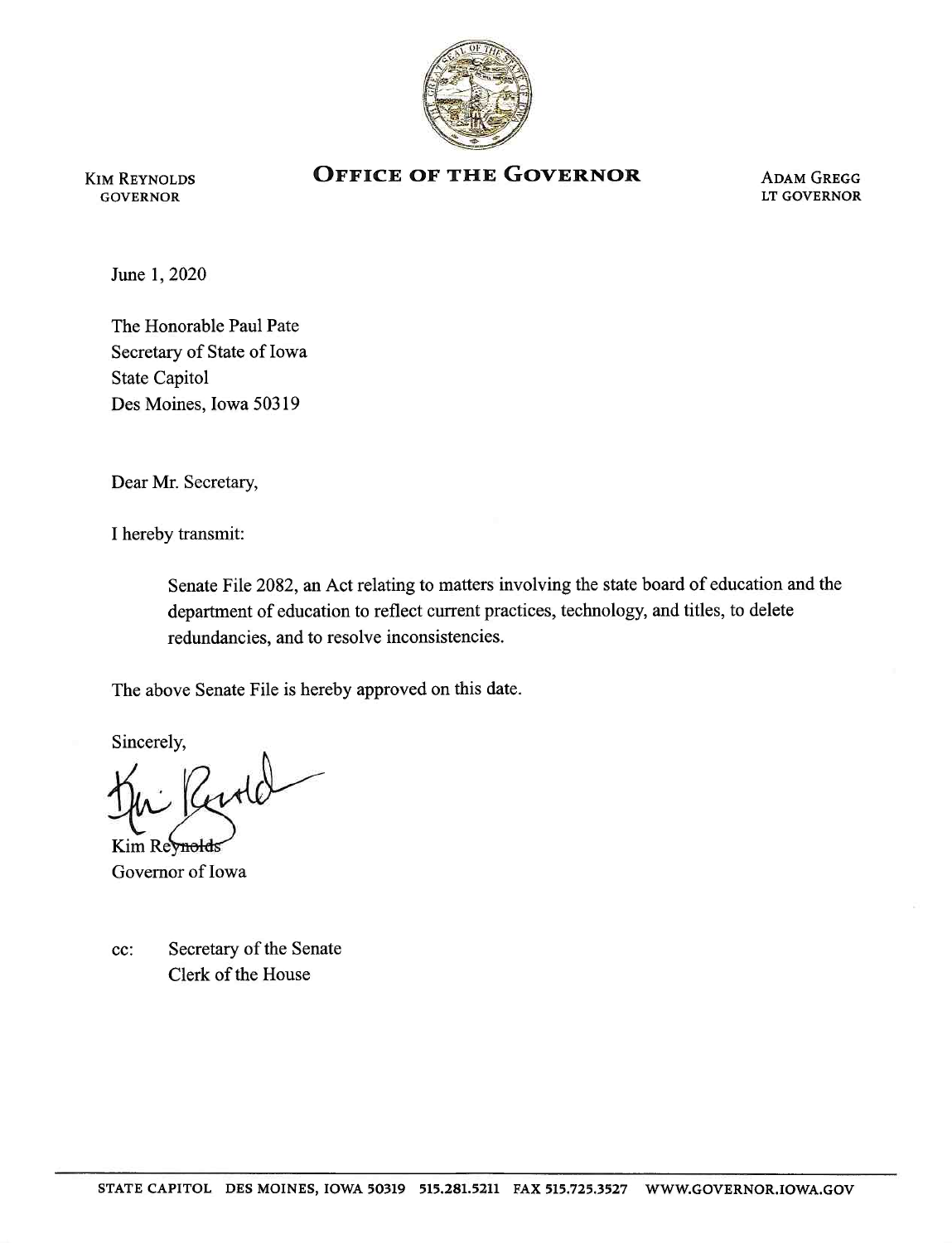

Kim Reynolds **GOVERNOR** 

## **OFFICE OF THE GOVERNOR ADAM GREGG**

LT GOVERNOR

June 1,2020

The Honorable Paul Pate Secretary of State of Iowa State Capitol Des Moines, Iowa 50319

Dear Mr. Secretary,

I hereby transmit:

Senate File 2082, an Act relating to matters involving the state board of education and the department of education to reflect current practices, technology, and titles, to delete redundancies, and to resolve inconsistencies.

The above Senate File is hereby approved on this date.

Sincerely,<br>Ju Rentel

Kim Revnold Governor of Iowa

cc: Secretary of the Senate Clerk of the House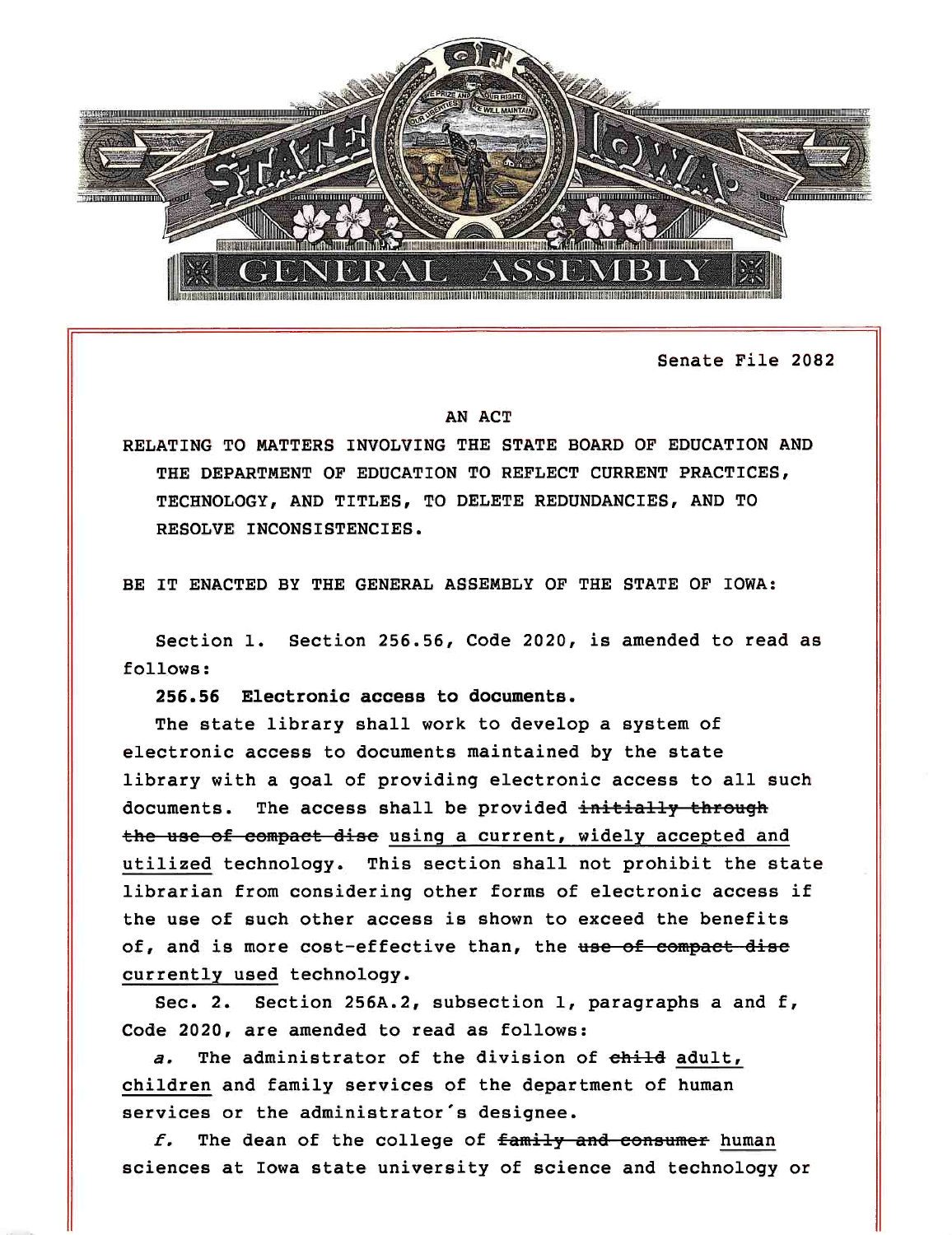

Senate File 2082

## AN ACT

RELATING TO MATTERS INVOLVING THE STATE BOARD OF EDUCATION AND THE DEPARTMENT OF EDUCATION TO REFLECT CURRENT PRACTICES, TECHNOLOGY, AND TITLES, TO DELETE REDUNDANCIES, AND TO RESOLVE INCONSISTENCIES.

BE IT ENACTED BY THE GENERAL ASSEMBLY OF THE STATE OF IOWA:

Section 1. Section 256.56, Code 2020, is amended to read as follows:

256.56 Electronic access to documents.

The state library shall work to develop a system of electronic access to documents maintained by the state library with a goal of providing electronic access to all such documents. The access shall be provided initially through the use of compact disc using a current, widely accepted and utilized technology. This section shall not prohibit the state librarian from considering other forms of electronic access if the use of such other access is shown to exceed the benefits of, and is more cost-effective than, the use of compact disc currently used technology.

Sec. 2. Section 256A.2, subsection 1, paragraphs a and f. Code 2020, are amended to read as follows:

a. The administrator of the division of child adult, children and family services of the department of human services or the administrator's designee.

 $f.$  The dean of the college of  $\frac{f.}{f.}$  and consumer human sciences at Iowa state university of science and technology or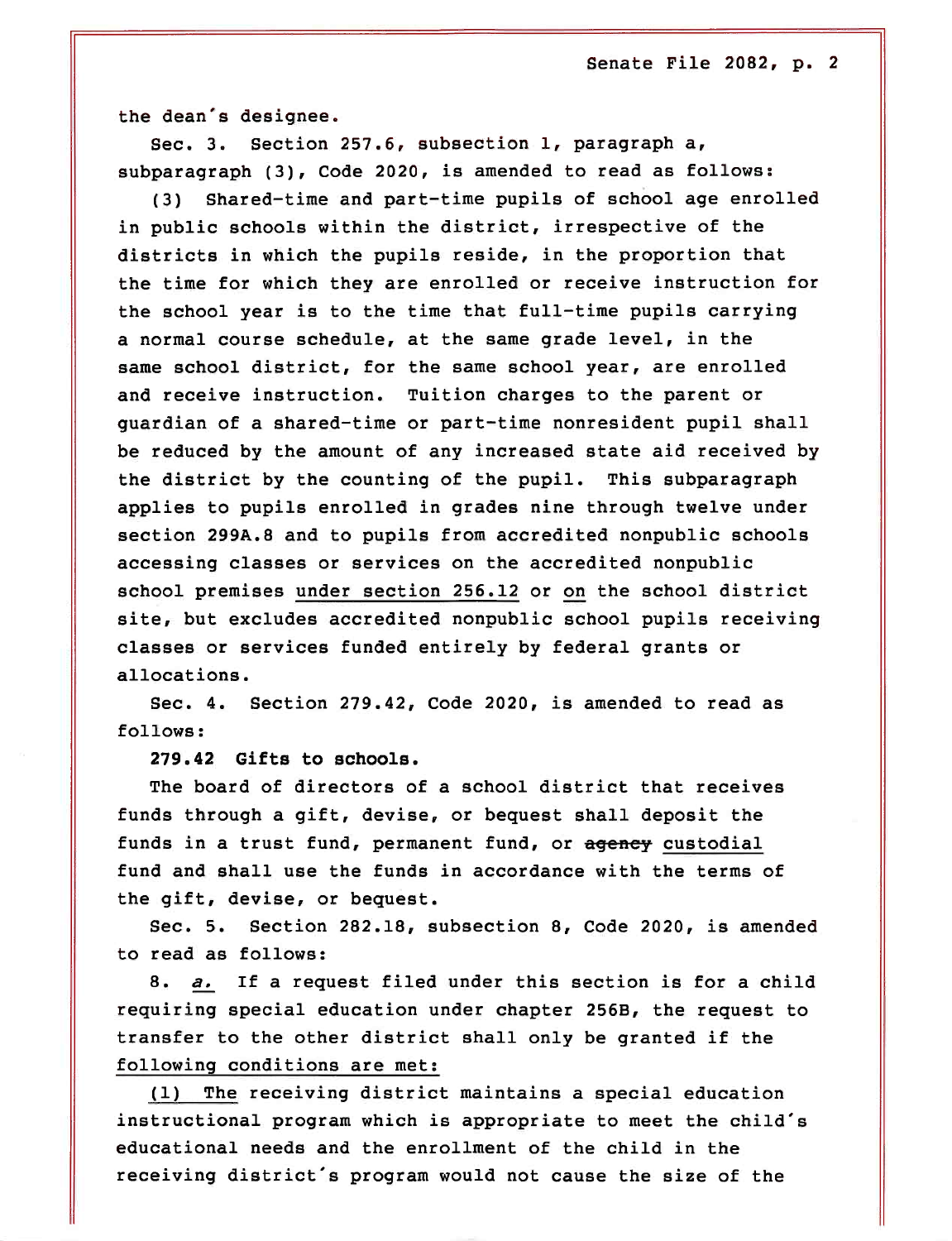the dean's designee.

Sec. 3. Section 257.6, subsection 1, paragraph a, subparagraph (3), Code 2020, is amended to read as follows:

(3) Shared-time and part-time pupils of school age enrolled in public schools within the district, irrespective of the districts in which the pupils reside, in the proportion that the time for which they are enrolled or receive instruction for the school year is to the time that full-time pupils carrying a normal course schedule, at the same grade level, in the same school district, for the same school year, are enrolled and receive instruction. Tuition charges to the parent or guardian of a shared-time or part-time nonresident pupil shall be reduced by the amount of any increased state aid received by the district by the counting of the pupil. This subparagraph applies to pupils enrolled in grades nine through twelve under section 299A.8 and to pupils from accredited nonpublic schools accessing classes or services on the accredited nonpublic school premises under section 256.12 or on the school district site, but excludes accredited nonpublic school pupils receiving classes or services funded entirely by federal grants or allocations.

Sec. 4. Section 279.42, Code 2020, is amended to read as follows:

279.42 Gifts to schools.

The board of directors of a school district that receives funds through a gift, devise, or bequest shall deposit the funds in a trust fund, permanent fund, or agency custodial fund and shall use the funds in accordance with the terms of the gift, devise, or bequest.

Sec. 5. Section 282.18, subsection 8, Code 2020, is amended to read as follows:

8. a. If a request filed under this section is for a child requiring special education under chapter 256B, the request to transfer to the other district shall only be granted if the following conditions are met:

(1) The receiving district maintains a special education instructional program which is appropriate to meet the child's educational needs and the enrollment of the child in the receiving district's program would not cause the size of the